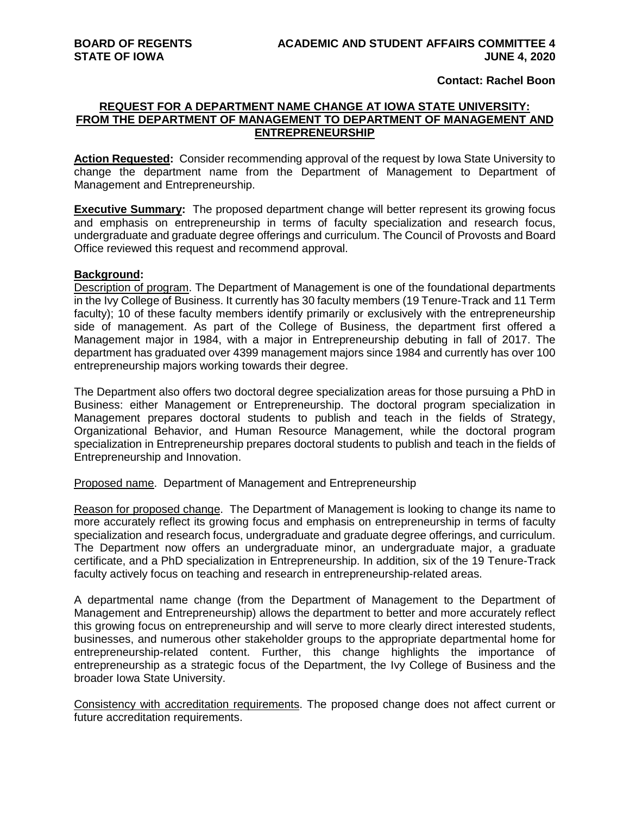**Contact: Rachel Boon**

## **REQUEST FOR A DEPARTMENT NAME CHANGE AT IOWA STATE UNIVERSITY: FROM THE DEPARTMENT OF MANAGEMENT TO DEPARTMENT OF MANAGEMENT AND ENTREPRENEURSHIP**

**Action Requested:** Consider recommending approval of the request by Iowa State University to change the department name from the Department of Management to Department of Management and Entrepreneurship.

**Executive Summary:** The proposed department change will better represent its growing focus and emphasis on entrepreneurship in terms of faculty specialization and research focus, undergraduate and graduate degree offerings and curriculum. The Council of Provosts and Board Office reviewed this request and recommend approval.

## **Background:**

Description of program. The Department of Management is one of the foundational departments in the Ivy College of Business. It currently has 30 faculty members (19 Tenure-Track and 11 Term faculty); 10 of these faculty members identify primarily or exclusively with the entrepreneurship side of management. As part of the College of Business, the department first offered a Management major in 1984, with a major in Entrepreneurship debuting in fall of 2017. The department has graduated over 4399 management majors since 1984 and currently has over 100 entrepreneurship majors working towards their degree.

The Department also offers two doctoral degree specialization areas for those pursuing a PhD in Business: either Management or Entrepreneurship. The doctoral program specialization in Management prepares doctoral students to publish and teach in the fields of Strategy, Organizational Behavior, and Human Resource Management, while the doctoral program specialization in Entrepreneurship prepares doctoral students to publish and teach in the fields of Entrepreneurship and Innovation.

Proposed name. Department of Management and Entrepreneurship

Reason for proposed change. The Department of Management is looking to change its name to more accurately reflect its growing focus and emphasis on entrepreneurship in terms of faculty specialization and research focus, undergraduate and graduate degree offerings, and curriculum. The Department now offers an undergraduate minor, an undergraduate major, a graduate certificate, and a PhD specialization in Entrepreneurship. In addition, six of the 19 Tenure-Track faculty actively focus on teaching and research in entrepreneurship-related areas.

A departmental name change (from the Department of Management to the Department of Management and Entrepreneurship) allows the department to better and more accurately reflect this growing focus on entrepreneurship and will serve to more clearly direct interested students, businesses, and numerous other stakeholder groups to the appropriate departmental home for entrepreneurship-related content. Further, this change highlights the importance of entrepreneurship as a strategic focus of the Department, the Ivy College of Business and the broader Iowa State University.

Consistency with accreditation requirements. The proposed change does not affect current or future accreditation requirements.